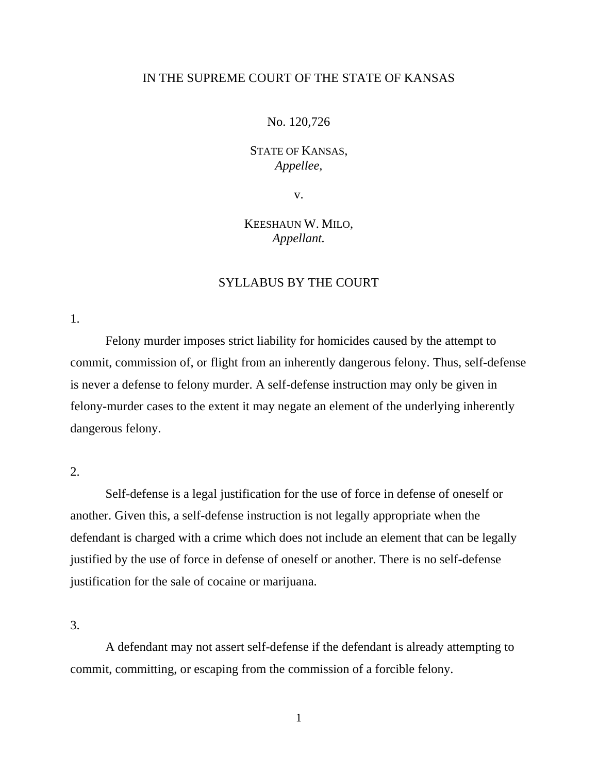# IN THE SUPREME COURT OF THE STATE OF KANSAS

#### No. 120,726

# STATE OF KANSAS, *Appellee,*

v.

# KEESHAUN W. MILO, *Appellant.*

# SYLLABUS BY THE COURT

1.

Felony murder imposes strict liability for homicides caused by the attempt to commit, commission of, or flight from an inherently dangerous felony. Thus, self-defense is never a defense to felony murder. A self-defense instruction may only be given in felony-murder cases to the extent it may negate an element of the underlying inherently dangerous felony.

# $2<sub>1</sub>$

Self-defense is a legal justification for the use of force in defense of oneself or another. Given this, a self-defense instruction is not legally appropriate when the defendant is charged with a crime which does not include an element that can be legally justified by the use of force in defense of oneself or another. There is no self-defense justification for the sale of cocaine or marijuana.

3.

A defendant may not assert self-defense if the defendant is already attempting to commit, committing, or escaping from the commission of a forcible felony.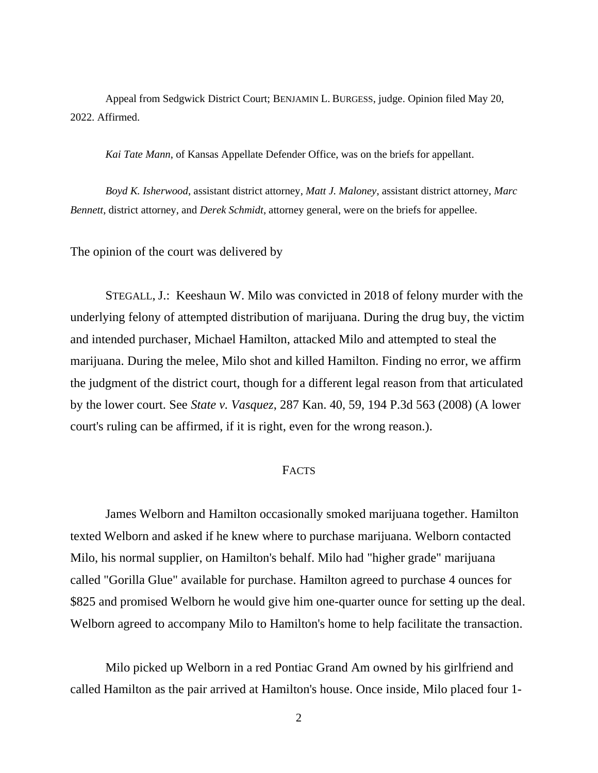Appeal from Sedgwick District Court; BENJAMIN L. BURGESS, judge. Opinion filed May 20, 2022. Affirmed.

*Kai Tate Mann*, of Kansas Appellate Defender Office, was on the briefs for appellant.

*Boyd K. Isherwood*, assistant district attorney, *Matt J. Maloney*, assistant district attorney, *Marc Bennett*, district attorney, and *Derek Schmidt*, attorney general, were on the briefs for appellee.

The opinion of the court was delivered by

STEGALL, J.: Keeshaun W. Milo was convicted in 2018 of felony murder with the underlying felony of attempted distribution of marijuana. During the drug buy, the victim and intended purchaser, Michael Hamilton, attacked Milo and attempted to steal the marijuana. During the melee, Milo shot and killed Hamilton. Finding no error, we affirm the judgment of the district court, though for a different legal reason from that articulated by the lower court. See *State v. Vasquez*, 287 Kan. 40, 59, 194 P.3d 563 (2008) (A lower court's ruling can be affirmed, if it is right, even for the wrong reason.).

# **FACTS**

James Welborn and Hamilton occasionally smoked marijuana together. Hamilton texted Welborn and asked if he knew where to purchase marijuana. Welborn contacted Milo, his normal supplier, on Hamilton's behalf. Milo had "higher grade" marijuana called "Gorilla Glue" available for purchase. Hamilton agreed to purchase 4 ounces for \$825 and promised Welborn he would give him one-quarter ounce for setting up the deal. Welborn agreed to accompany Milo to Hamilton's home to help facilitate the transaction.

Milo picked up Welborn in a red Pontiac Grand Am owned by his girlfriend and called Hamilton as the pair arrived at Hamilton's house. Once inside, Milo placed four 1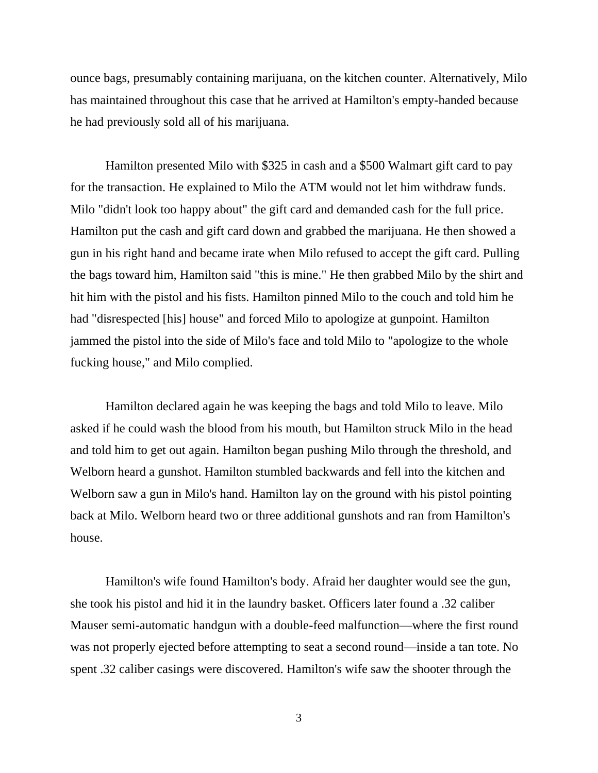ounce bags, presumably containing marijuana, on the kitchen counter. Alternatively, Milo has maintained throughout this case that he arrived at Hamilton's empty-handed because he had previously sold all of his marijuana.

Hamilton presented Milo with \$325 in cash and a \$500 Walmart gift card to pay for the transaction. He explained to Milo the ATM would not let him withdraw funds. Milo "didn't look too happy about" the gift card and demanded cash for the full price. Hamilton put the cash and gift card down and grabbed the marijuana. He then showed a gun in his right hand and became irate when Milo refused to accept the gift card. Pulling the bags toward him, Hamilton said "this is mine." He then grabbed Milo by the shirt and hit him with the pistol and his fists. Hamilton pinned Milo to the couch and told him he had "disrespected [his] house" and forced Milo to apologize at gunpoint. Hamilton jammed the pistol into the side of Milo's face and told Milo to "apologize to the whole fucking house," and Milo complied.

Hamilton declared again he was keeping the bags and told Milo to leave. Milo asked if he could wash the blood from his mouth, but Hamilton struck Milo in the head and told him to get out again. Hamilton began pushing Milo through the threshold, and Welborn heard a gunshot. Hamilton stumbled backwards and fell into the kitchen and Welborn saw a gun in Milo's hand. Hamilton lay on the ground with his pistol pointing back at Milo. Welborn heard two or three additional gunshots and ran from Hamilton's house.

Hamilton's wife found Hamilton's body. Afraid her daughter would see the gun, she took his pistol and hid it in the laundry basket. Officers later found a .32 caliber Mauser semi-automatic handgun with a double-feed malfunction—where the first round was not properly ejected before attempting to seat a second round—inside a tan tote. No spent .32 caliber casings were discovered. Hamilton's wife saw the shooter through the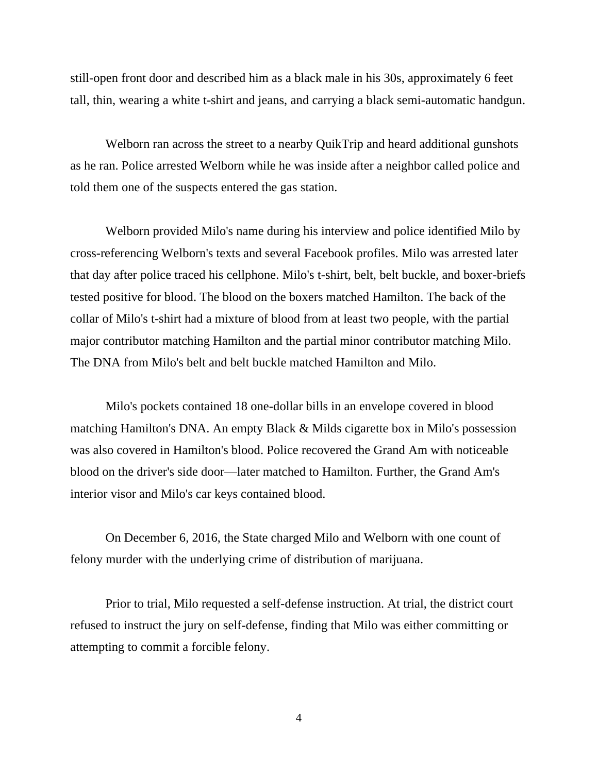still-open front door and described him as a black male in his 30s, approximately 6 feet tall, thin, wearing a white t-shirt and jeans, and carrying a black semi-automatic handgun.

Welborn ran across the street to a nearby QuikTrip and heard additional gunshots as he ran. Police arrested Welborn while he was inside after a neighbor called police and told them one of the suspects entered the gas station.

Welborn provided Milo's name during his interview and police identified Milo by cross-referencing Welborn's texts and several Facebook profiles. Milo was arrested later that day after police traced his cellphone. Milo's t-shirt, belt, belt buckle, and boxer-briefs tested positive for blood. The blood on the boxers matched Hamilton. The back of the collar of Milo's t-shirt had a mixture of blood from at least two people, with the partial major contributor matching Hamilton and the partial minor contributor matching Milo. The DNA from Milo's belt and belt buckle matched Hamilton and Milo.

Milo's pockets contained 18 one-dollar bills in an envelope covered in blood matching Hamilton's DNA. An empty Black & Milds cigarette box in Milo's possession was also covered in Hamilton's blood. Police recovered the Grand Am with noticeable blood on the driver's side door—later matched to Hamilton. Further, the Grand Am's interior visor and Milo's car keys contained blood.

On December 6, 2016, the State charged Milo and Welborn with one count of felony murder with the underlying crime of distribution of marijuana.

Prior to trial, Milo requested a self-defense instruction. At trial, the district court refused to instruct the jury on self-defense, finding that Milo was either committing or attempting to commit a forcible felony.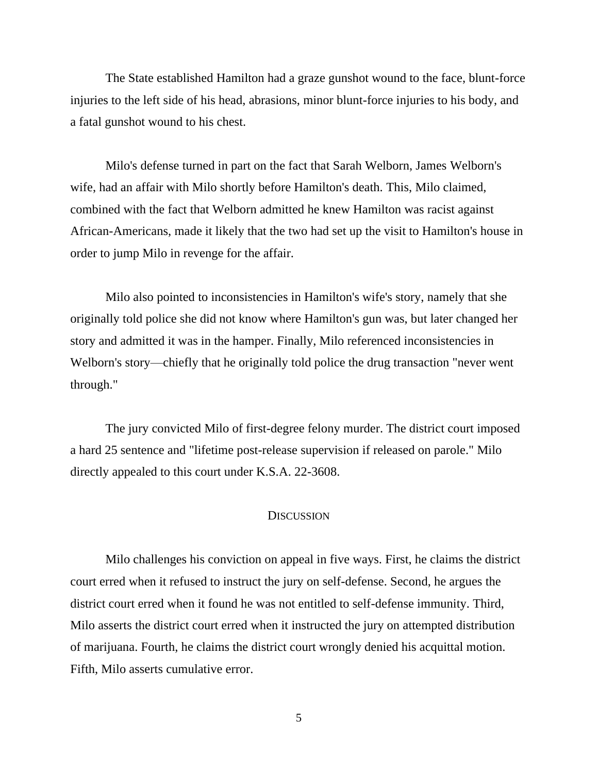The State established Hamilton had a graze gunshot wound to the face, blunt-force injuries to the left side of his head, abrasions, minor blunt-force injuries to his body, and a fatal gunshot wound to his chest.

Milo's defense turned in part on the fact that Sarah Welborn, James Welborn's wife, had an affair with Milo shortly before Hamilton's death. This, Milo claimed, combined with the fact that Welborn admitted he knew Hamilton was racist against African-Americans, made it likely that the two had set up the visit to Hamilton's house in order to jump Milo in revenge for the affair.

Milo also pointed to inconsistencies in Hamilton's wife's story, namely that she originally told police she did not know where Hamilton's gun was, but later changed her story and admitted it was in the hamper. Finally, Milo referenced inconsistencies in Welborn's story—chiefly that he originally told police the drug transaction "never went through."

The jury convicted Milo of first-degree felony murder. The district court imposed a hard 25 sentence and "lifetime post-release supervision if released on parole." Milo directly appealed to this court under K.S.A. 22-3608.

#### **DISCUSSION**

Milo challenges his conviction on appeal in five ways. First, he claims the district court erred when it refused to instruct the jury on self-defense. Second, he argues the district court erred when it found he was not entitled to self-defense immunity. Third, Milo asserts the district court erred when it instructed the jury on attempted distribution of marijuana. Fourth, he claims the district court wrongly denied his acquittal motion. Fifth, Milo asserts cumulative error.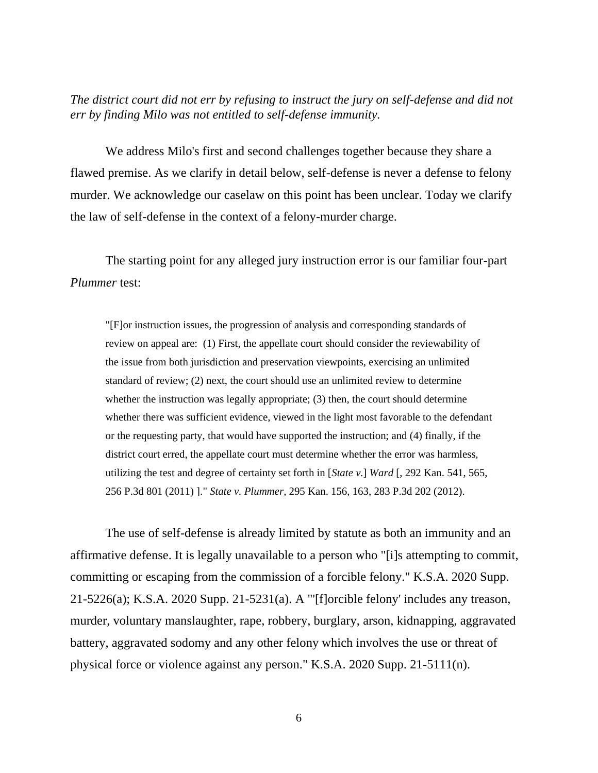*The district court did not err by refusing to instruct the jury on self-defense and did not err by finding Milo was not entitled to self-defense immunity.* 

We address Milo's first and second challenges together because they share a flawed premise. As we clarify in detail below, self-defense is never a defense to felony murder. We acknowledge our caselaw on this point has been unclear. Today we clarify the law of self-defense in the context of a felony-murder charge.

The starting point for any alleged jury instruction error is our familiar four-part *Plummer* test:

"[F]or instruction issues, the progression of analysis and corresponding standards of review on appeal are: (1) First, the appellate court should consider the reviewability of the issue from both jurisdiction and preservation viewpoints, exercising an unlimited standard of review; (2) next, the court should use an unlimited review to determine whether the instruction was legally appropriate; (3) then, the court should determine whether there was sufficient evidence, viewed in the light most favorable to the defendant or the requesting party, that would have supported the instruction; and (4) finally, if the district court erred, the appellate court must determine whether the error was harmless, utilizing the test and degree of certainty set forth in [*State v.*] *Ward* [, 292 Kan. 541, 565, 256 P.3d 801 (2011) ]." *State v. Plummer*, 295 Kan. 156, 163, 283 P.3d 202 (2012).

The use of self-defense is already limited by statute as both an immunity and an affirmative defense. It is legally unavailable to a person who "[i]s attempting to commit, committing or escaping from the commission of a forcible felony." K.S.A. 2020 Supp. 21-5226(a); K.S.A. 2020 Supp. 21-5231(a). A "'[f]orcible felony' includes any treason, murder, voluntary manslaughter, rape, robbery, burglary, arson, kidnapping, aggravated battery, aggravated sodomy and any other felony which involves the use or threat of physical force or violence against any person." K.S.A. 2020 Supp. 21-5111(n).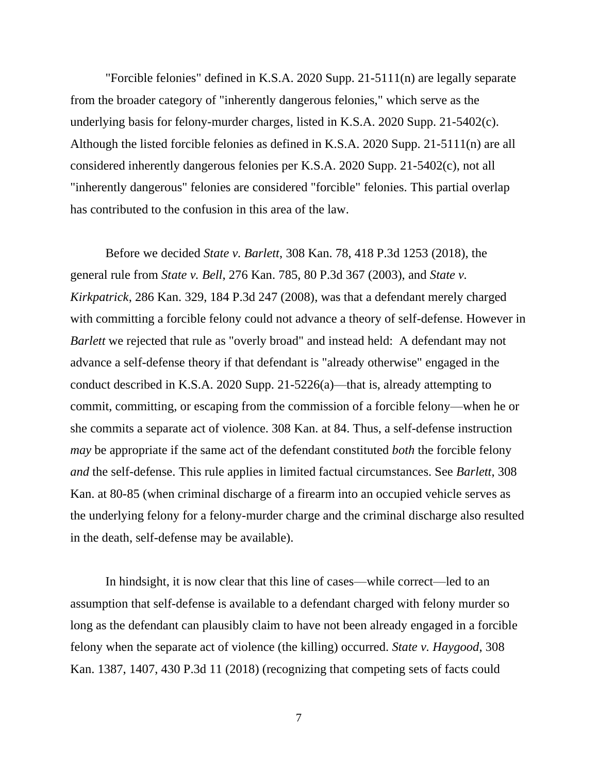"Forcible felonies" defined in K.S.A. 2020 Supp. 21-5111(n) are legally separate from the broader category of "inherently dangerous felonies," which serve as the underlying basis for felony-murder charges, listed in K.S.A. 2020 Supp. 21-5402(c). Although the listed forcible felonies as defined in K.S.A. 2020 Supp. 21-5111(n) are all considered inherently dangerous felonies per K.S.A. 2020 Supp. 21-5402(c), not all "inherently dangerous" felonies are considered "forcible" felonies. This partial overlap has contributed to the confusion in this area of the law.

Before we decided *State v. Barlett*, 308 Kan. 78, 418 P.3d 1253 (2018), the general rule from *State v. Bell*, 276 Kan. 785, 80 P.3d 367 (2003), and *State v. Kirkpatrick*, 286 Kan. 329, 184 P.3d 247 (2008), was that a defendant merely charged with committing a forcible felony could not advance a theory of self-defense. However in *Barlett* we rejected that rule as "overly broad" and instead held: A defendant may not advance a self-defense theory if that defendant is "already otherwise" engaged in the conduct described in K.S.A. 2020 Supp. 21-5226(a)—that is, already attempting to commit, committing, or escaping from the commission of a forcible felony—when he or she commits a separate act of violence. 308 Kan. at 84. Thus, a self-defense instruction *may* be appropriate if the same act of the defendant constituted *both* the forcible felony *and* the self-defense. This rule applies in limited factual circumstances. See *Barlett*, 308 Kan. at 80-85 (when criminal discharge of a firearm into an occupied vehicle serves as the underlying felony for a felony-murder charge and the criminal discharge also resulted in the death, self-defense may be available).

In hindsight, it is now clear that this line of cases—while correct—led to an assumption that self-defense is available to a defendant charged with felony murder so long as the defendant can plausibly claim to have not been already engaged in a forcible felony when the separate act of violence (the killing) occurred. *State v. Haygood*, 308 Kan. 1387, 1407, 430 P.3d 11 (2018) (recognizing that competing sets of facts could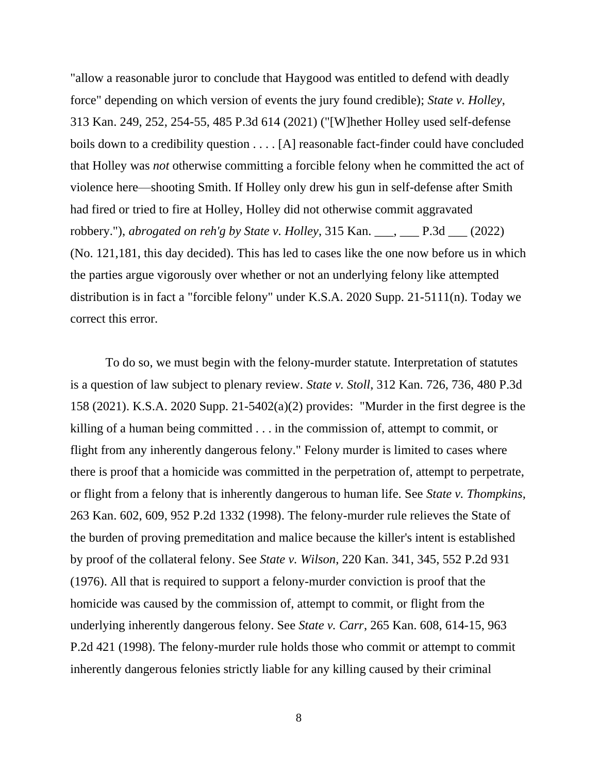"allow a reasonable juror to conclude that Haygood was entitled to defend with deadly force" depending on which version of events the jury found credible); *State v. Holley*, 313 Kan. 249, 252, 254-55, 485 P.3d 614 (2021) ("[W]hether Holley used self-defense boils down to a credibility question . . . . [A] reasonable fact-finder could have concluded that Holley was *not* otherwise committing a forcible felony when he committed the act of violence here—shooting Smith. If Holley only drew his gun in self-defense after Smith had fired or tried to fire at Holley, Holley did not otherwise commit aggravated robbery."), *abrogated on reh'g by State v. Holley*, 315 Kan. \_\_\_, \_\_\_ P.3d \_\_\_ (2022) (No. 121,181, this day decided). This has led to cases like the one now before us in which the parties argue vigorously over whether or not an underlying felony like attempted distribution is in fact a "forcible felony" under K.S.A. 2020 Supp. 21-5111(n). Today we correct this error.

To do so, we must begin with the felony-murder statute. Interpretation of statutes is a question of law subject to plenary review. *State v. Stoll*, 312 Kan. 726, 736, 480 P.3d 158 (2021). K.S.A. 2020 Supp. 21-5402(a)(2) provides: "Murder in the first degree is the killing of a human being committed . . . in the commission of, attempt to commit, or flight from any inherently dangerous felony." Felony murder is limited to cases where there is proof that a homicide was committed in the perpetration of, attempt to perpetrate, or flight from a felony that is inherently dangerous to human life. See *State v. Thompkins*, 263 Kan. 602, 609, 952 P.2d 1332 (1998). The felony-murder rule relieves the State of the burden of proving premeditation and malice because the killer's intent is established by proof of the collateral felony. See *State v. Wilson*, 220 Kan. 341, 345, 552 P.2d 931 (1976). All that is required to support a felony-murder conviction is proof that the homicide was caused by the commission of, attempt to commit, or flight from the underlying inherently dangerous felony. See *State v. Carr*, 265 Kan. 608, 614-15, 963 P.2d 421 (1998). The felony-murder rule holds those who commit or attempt to commit inherently dangerous felonies strictly liable for any killing caused by their criminal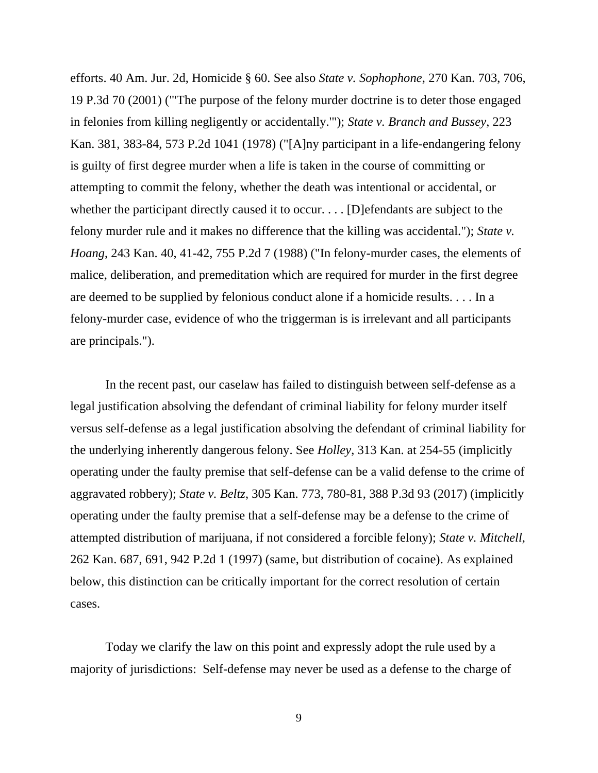efforts. 40 Am. Jur. 2d, Homicide § 60. See also *State v. Sophophone*, 270 Kan. 703, 706, 19 P.3d 70 (2001) ("'The purpose of the felony murder doctrine is to deter those engaged in felonies from killing negligently or accidentally.'"); *State v. Branch and Bussey*, 223 Kan. 381, 383-84, 573 P.2d 1041 (1978) ("[A]ny participant in a life-endangering felony is guilty of first degree murder when a life is taken in the course of committing or attempting to commit the felony, whether the death was intentional or accidental, or whether the participant directly caused it to occur. . . . [D] efendants are subject to the felony murder rule and it makes no difference that the killing was accidental."); *State v. Hoang*, 243 Kan. 40, 41-42, 755 P.2d 7 (1988) ("In felony-murder cases, the elements of malice, deliberation, and premeditation which are required for murder in the first degree are deemed to be supplied by felonious conduct alone if a homicide results. . . . In a felony-murder case, evidence of who the triggerman is is irrelevant and all participants are principals.").

In the recent past, our caselaw has failed to distinguish between self-defense as a legal justification absolving the defendant of criminal liability for felony murder itself versus self-defense as a legal justification absolving the defendant of criminal liability for the underlying inherently dangerous felony. See *Holley*, 313 Kan. at 254-55 (implicitly operating under the faulty premise that self-defense can be a valid defense to the crime of aggravated robbery); *State v. Beltz*, 305 Kan. 773, 780-81, 388 P.3d 93 (2017) (implicitly operating under the faulty premise that a self-defense may be a defense to the crime of attempted distribution of marijuana, if not considered a forcible felony); *State v. Mitchell*, 262 Kan. 687, 691, 942 P.2d 1 (1997) (same, but distribution of cocaine). As explained below, this distinction can be critically important for the correct resolution of certain cases.

Today we clarify the law on this point and expressly adopt the rule used by a majority of jurisdictions: Self-defense may never be used as a defense to the charge of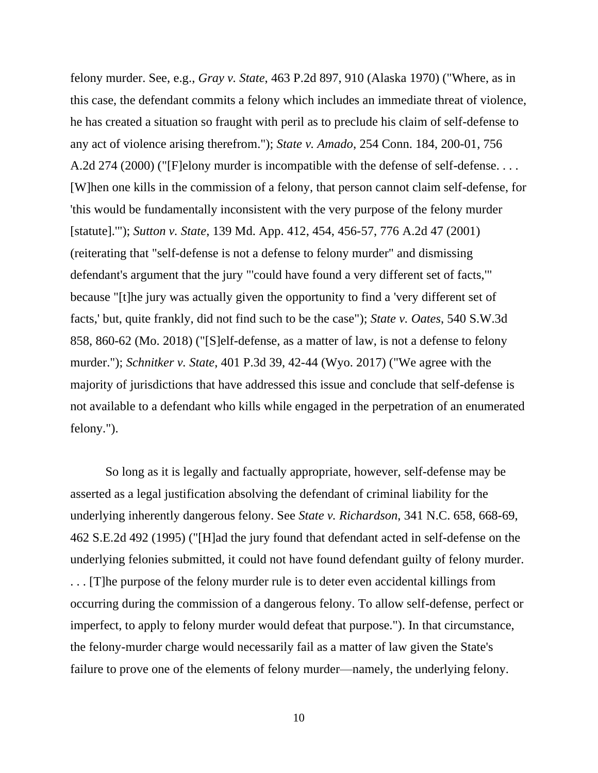felony murder. See, e.g., *Gray v. State*, 463 P.2d 897, 910 (Alaska 1970) ("Where, as in this case, the defendant commits a felony which includes an immediate threat of violence, he has created a situation so fraught with peril as to preclude his claim of self-defense to any act of violence arising therefrom."); *State v. Amado*, 254 Conn. 184, 200-01, 756 A.2d 274 (2000) ("[F]elony murder is incompatible with the defense of self-defense.... [W]hen one kills in the commission of a felony, that person cannot claim self-defense, for 'this would be fundamentally inconsistent with the very purpose of the felony murder [statute].'"); *Sutton v. State*, 139 Md. App. 412, 454, 456-57, 776 A.2d 47 (2001) (reiterating that "self-defense is not a defense to felony murder" and dismissing defendant's argument that the jury "'could have found a very different set of facts,'" because "[t]he jury was actually given the opportunity to find a 'very different set of facts,' but, quite frankly, did not find such to be the case"); *State v. Oates*, 540 S.W.3d 858, 860-62 (Mo. 2018) ("[S]elf-defense, as a matter of law, is not a defense to felony murder."); *Schnitker v. State*, 401 P.3d 39, 42-44 (Wyo. 2017) ("We agree with the majority of jurisdictions that have addressed this issue and conclude that self-defense is not available to a defendant who kills while engaged in the perpetration of an enumerated felony.").

So long as it is legally and factually appropriate, however, self-defense may be asserted as a legal justification absolving the defendant of criminal liability for the underlying inherently dangerous felony. See *State v. Richardson*, 341 N.C. 658, 668-69, 462 S.E.2d 492 (1995) ("[H]ad the jury found that defendant acted in self-defense on the underlying felonies submitted, it could not have found defendant guilty of felony murder. . . . [T]he purpose of the felony murder rule is to deter even accidental killings from occurring during the commission of a dangerous felony. To allow self-defense, perfect or imperfect, to apply to felony murder would defeat that purpose."). In that circumstance, the felony-murder charge would necessarily fail as a matter of law given the State's failure to prove one of the elements of felony murder—namely, the underlying felony.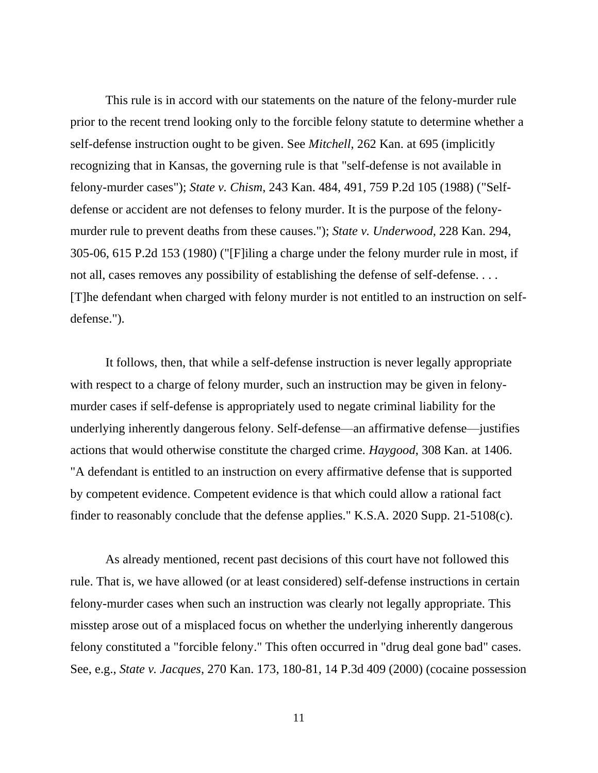This rule is in accord with our statements on the nature of the felony-murder rule prior to the recent trend looking only to the forcible felony statute to determine whether a self-defense instruction ought to be given. See *Mitchell*, 262 Kan. at 695 (implicitly recognizing that in Kansas, the governing rule is that "self-defense is not available in felony-murder cases"); *State v. Chism*, 243 Kan. 484, 491, 759 P.2d 105 (1988) ("Selfdefense or accident are not defenses to felony murder. It is the purpose of the felonymurder rule to prevent deaths from these causes."); *State v. Underwood*, 228 Kan. 294, 305-06, 615 P.2d 153 (1980) ("[F]iling a charge under the felony murder rule in most, if not all, cases removes any possibility of establishing the defense of self-defense.... [T]he defendant when charged with felony murder is not entitled to an instruction on selfdefense.").

It follows, then, that while a self-defense instruction is never legally appropriate with respect to a charge of felony murder, such an instruction may be given in felonymurder cases if self-defense is appropriately used to negate criminal liability for the underlying inherently dangerous felony. Self-defense—an affirmative defense—justifies actions that would otherwise constitute the charged crime. *Haygood*, 308 Kan. at 1406. "A defendant is entitled to an instruction on every affirmative defense that is supported by competent evidence. Competent evidence is that which could allow a rational fact finder to reasonably conclude that the defense applies." K.S.A. 2020 Supp. 21-5108(c).

As already mentioned, recent past decisions of this court have not followed this rule. That is, we have allowed (or at least considered) self-defense instructions in certain felony-murder cases when such an instruction was clearly not legally appropriate. This misstep arose out of a misplaced focus on whether the underlying inherently dangerous felony constituted a "forcible felony." This often occurred in "drug deal gone bad" cases. See, e.g., *State v. Jacques*, 270 Kan. 173, 180-81, 14 P.3d 409 (2000) (cocaine possession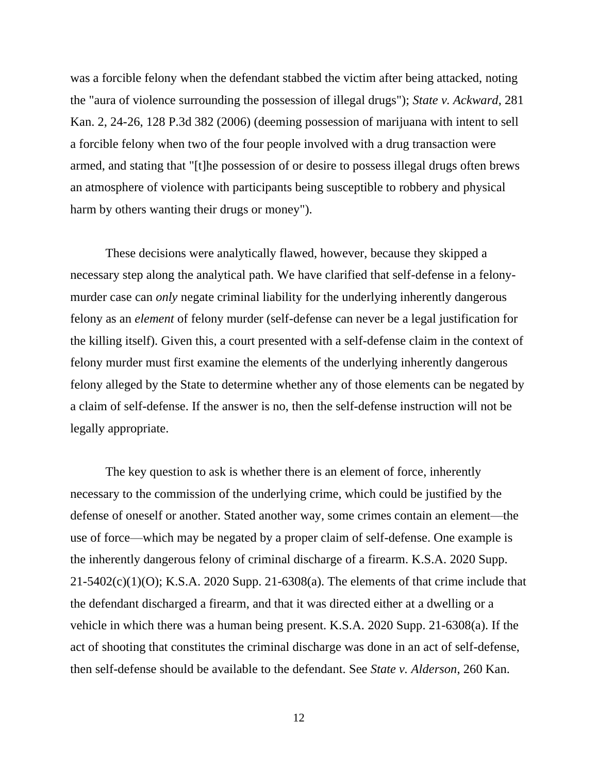was a forcible felony when the defendant stabbed the victim after being attacked, noting the "aura of violence surrounding the possession of illegal drugs"); *State v. Ackward*, 281 Kan. 2, 24-26, 128 P.3d 382 (2006) (deeming possession of marijuana with intent to sell a forcible felony when two of the four people involved with a drug transaction were armed, and stating that "[t]he possession of or desire to possess illegal drugs often brews an atmosphere of violence with participants being susceptible to robbery and physical harm by others wanting their drugs or money").

These decisions were analytically flawed, however, because they skipped a necessary step along the analytical path. We have clarified that self-defense in a felonymurder case can *only* negate criminal liability for the underlying inherently dangerous felony as an *element* of felony murder (self-defense can never be a legal justification for the killing itself). Given this, a court presented with a self-defense claim in the context of felony murder must first examine the elements of the underlying inherently dangerous felony alleged by the State to determine whether any of those elements can be negated by a claim of self-defense. If the answer is no, then the self-defense instruction will not be legally appropriate.

The key question to ask is whether there is an element of force, inherently necessary to the commission of the underlying crime, which could be justified by the defense of oneself or another. Stated another way, some crimes contain an element—the use of force—which may be negated by a proper claim of self-defense. One example is the inherently dangerous felony of criminal discharge of a firearm. K.S.A. 2020 Supp.  $21-5402(c)(1)(O)$ ; K.S.A. 2020 Supp. 21-6308(a). The elements of that crime include that the defendant discharged a firearm, and that it was directed either at a dwelling or a vehicle in which there was a human being present. K.S.A. 2020 Supp. 21-6308(a). If the act of shooting that constitutes the criminal discharge was done in an act of self-defense, then self-defense should be available to the defendant. See *State v. Alderson*, 260 Kan.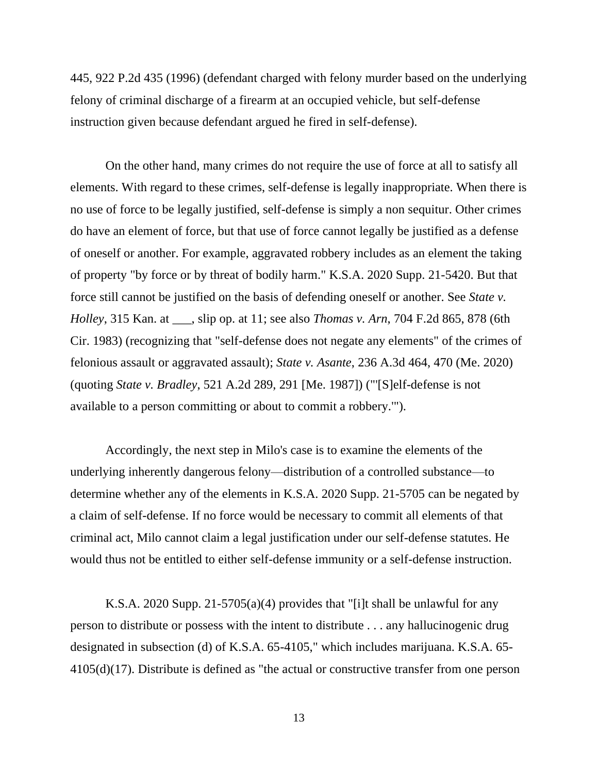445, 922 P.2d 435 (1996) (defendant charged with felony murder based on the underlying felony of criminal discharge of a firearm at an occupied vehicle, but self-defense instruction given because defendant argued he fired in self-defense).

On the other hand, many crimes do not require the use of force at all to satisfy all elements. With regard to these crimes, self-defense is legally inappropriate. When there is no use of force to be legally justified, self-defense is simply a non sequitur. Other crimes do have an element of force, but that use of force cannot legally be justified as a defense of oneself or another. For example, aggravated robbery includes as an element the taking of property "by force or by threat of bodily harm." K.S.A. 2020 Supp. 21-5420. But that force still cannot be justified on the basis of defending oneself or another. See *State v. Holley*, 315 Kan. at \_\_\_, slip op. at 11; see also *Thomas v. Arn*, 704 F.2d 865, 878 (6th Cir. 1983) (recognizing that "self-defense does not negate any elements" of the crimes of felonious assault or aggravated assault); *State v. Asante*, 236 A.3d 464, 470 (Me. 2020) (quoting *State v. Bradley*, 521 A.2d 289, 291 [Me. 1987]) ("'[S]elf-defense is not available to a person committing or about to commit a robbery.'").

Accordingly, the next step in Milo's case is to examine the elements of the underlying inherently dangerous felony—distribution of a controlled substance—to determine whether any of the elements in K.S.A. 2020 Supp. 21-5705 can be negated by a claim of self-defense. If no force would be necessary to commit all elements of that criminal act, Milo cannot claim a legal justification under our self-defense statutes. He would thus not be entitled to either self-defense immunity or a self-defense instruction.

K.S.A. 2020 Supp. 21-5705(a)(4) provides that "[i]t shall be unlawful for any person to distribute or possess with the intent to distribute . . . any hallucinogenic drug designated in subsection (d) of K.S.A. 65-4105," which includes marijuana. K.S.A. 65- 4105(d)(17). Distribute is defined as "the actual or constructive transfer from one person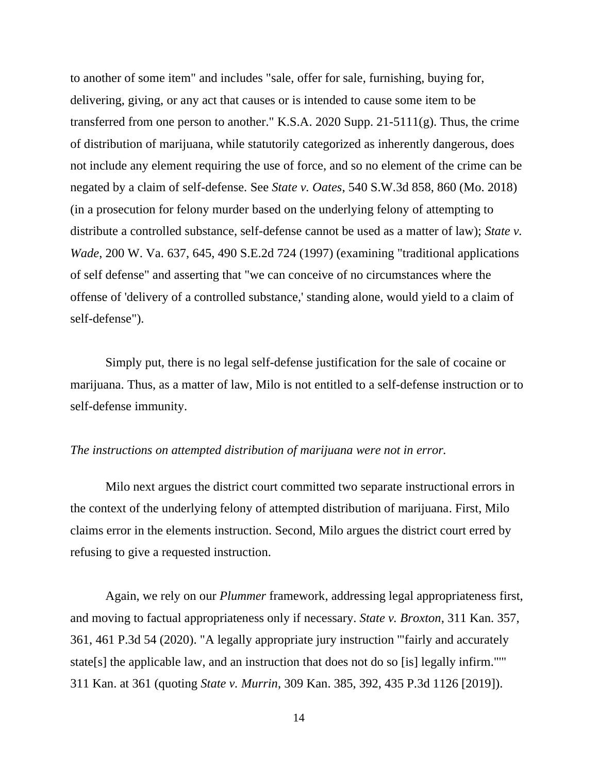to another of some item" and includes "sale, offer for sale, furnishing, buying for, delivering, giving, or any act that causes or is intended to cause some item to be transferred from one person to another." K.S.A. 2020 Supp.  $21-5111(g)$ . Thus, the crime of distribution of marijuana, while statutorily categorized as inherently dangerous, does not include any element requiring the use of force, and so no element of the crime can be negated by a claim of self-defense. See *State v. Oates*, 540 S.W.3d 858, 860 (Mo. 2018) (in a prosecution for felony murder based on the underlying felony of attempting to distribute a controlled substance, self-defense cannot be used as a matter of law); *State v. Wade*, 200 W. Va. 637, 645, 490 S.E.2d 724 (1997) (examining "traditional applications of self defense" and asserting that "we can conceive of no circumstances where the offense of 'delivery of a controlled substance,' standing alone, would yield to a claim of self-defense").

Simply put, there is no legal self-defense justification for the sale of cocaine or marijuana. Thus, as a matter of law, Milo is not entitled to a self-defense instruction or to self-defense immunity.

### *The instructions on attempted distribution of marijuana were not in error.*

Milo next argues the district court committed two separate instructional errors in the context of the underlying felony of attempted distribution of marijuana. First, Milo claims error in the elements instruction. Second, Milo argues the district court erred by refusing to give a requested instruction.

Again, we rely on our *Plummer* framework, addressing legal appropriateness first, and moving to factual appropriateness only if necessary. *State v. Broxton*, 311 Kan. 357, 361, 461 P.3d 54 (2020). "A legally appropriate jury instruction '"fairly and accurately state[s] the applicable law, and an instruction that does not do so [is] legally infirm."'" 311 Kan. at 361 (quoting *State v. Murrin*, 309 Kan. 385, 392, 435 P.3d 1126 [2019]).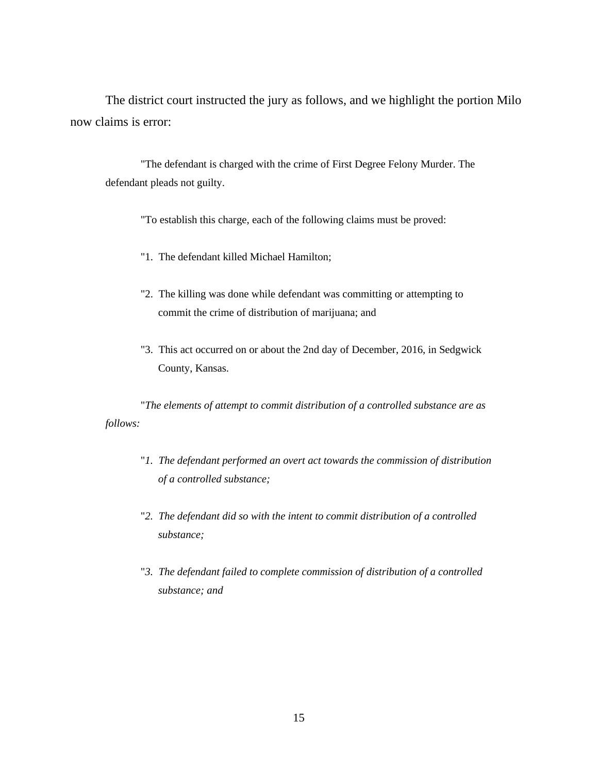The district court instructed the jury as follows, and we highlight the portion Milo now claims is error:

"The defendant is charged with the crime of First Degree Felony Murder. The defendant pleads not guilty.

"To establish this charge, each of the following claims must be proved:

- "1. The defendant killed Michael Hamilton;
- "2. The killing was done while defendant was committing or attempting to commit the crime of distribution of marijuana; and
- "3. This act occurred on or about the 2nd day of December, 2016, in Sedgwick County, Kansas.

"*The elements of attempt to commit distribution of a controlled substance are as follows:*

- "*1. The defendant performed an overt act towards the commission of distribution of a controlled substance;*
- "*2. The defendant did so with the intent to commit distribution of a controlled substance;*
- "*3. The defendant failed to complete commission of distribution of a controlled substance; and*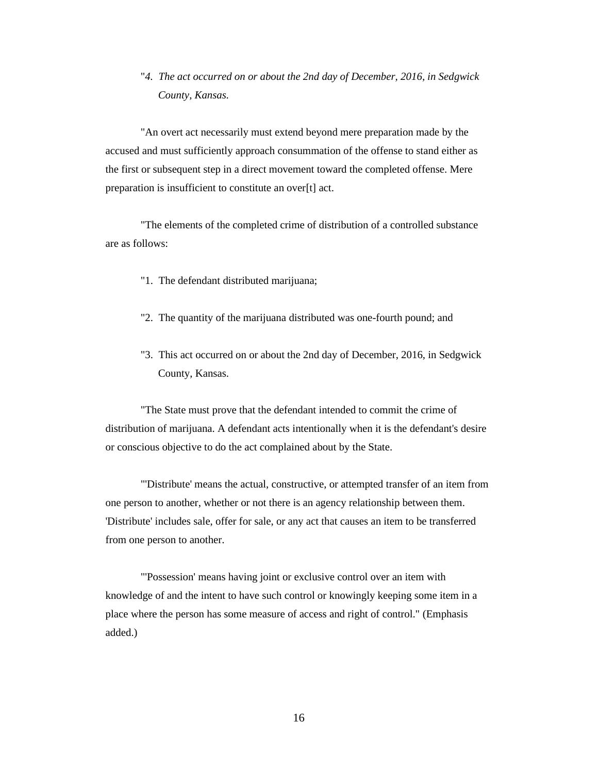"*4. The act occurred on or about the 2nd day of December, 2016, in Sedgwick County, Kansas.*

"An overt act necessarily must extend beyond mere preparation made by the accused and must sufficiently approach consummation of the offense to stand either as the first or subsequent step in a direct movement toward the completed offense. Mere preparation is insufficient to constitute an over[t] act.

"The elements of the completed crime of distribution of a controlled substance are as follows:

- "1. The defendant distributed marijuana;
- "2. The quantity of the marijuana distributed was one-fourth pound; and
- "3. This act occurred on or about the 2nd day of December, 2016, in Sedgwick County, Kansas.

"The State must prove that the defendant intended to commit the crime of distribution of marijuana. A defendant acts intentionally when it is the defendant's desire or conscious objective to do the act complained about by the State.

"'Distribute' means the actual, constructive, or attempted transfer of an item from one person to another, whether or not there is an agency relationship between them. 'Distribute' includes sale, offer for sale, or any act that causes an item to be transferred from one person to another.

"'Possession' means having joint or exclusive control over an item with knowledge of and the intent to have such control or knowingly keeping some item in a place where the person has some measure of access and right of control." (Emphasis added.)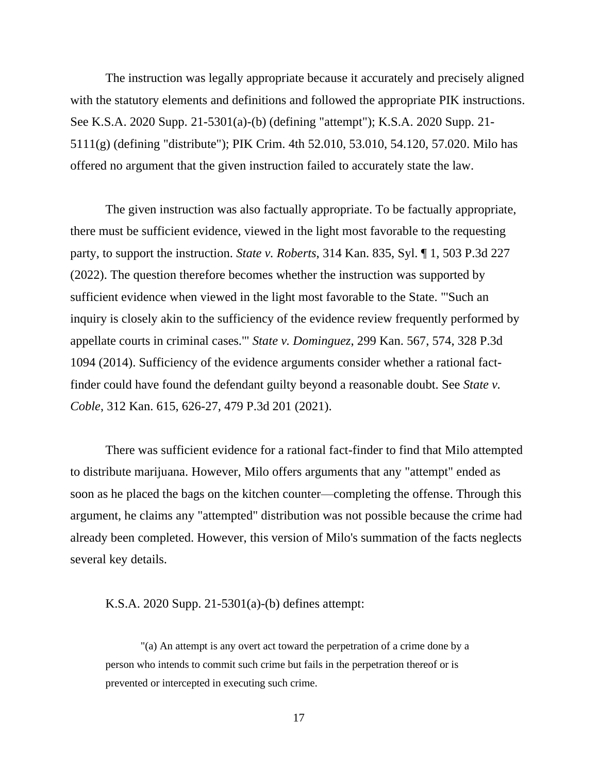The instruction was legally appropriate because it accurately and precisely aligned with the statutory elements and definitions and followed the appropriate PIK instructions. See K.S.A. 2020 Supp. 21-5301(a)-(b) (defining "attempt"); K.S.A. 2020 Supp. 21- 5111(g) (defining "distribute"); PIK Crim. 4th 52.010, 53.010, 54.120, 57.020. Milo has offered no argument that the given instruction failed to accurately state the law.

The given instruction was also factually appropriate. To be factually appropriate, there must be sufficient evidence, viewed in the light most favorable to the requesting party, to support the instruction. *State v. Roberts*, 314 Kan. 835, Syl. ¶ 1, 503 P.3d 227 (2022). The question therefore becomes whether the instruction was supported by sufficient evidence when viewed in the light most favorable to the State. "'Such an inquiry is closely akin to the sufficiency of the evidence review frequently performed by appellate courts in criminal cases.'" *State v. Dominguez*, 299 Kan. 567, 574, 328 P.3d 1094 (2014). Sufficiency of the evidence arguments consider whether a rational factfinder could have found the defendant guilty beyond a reasonable doubt. See *State v. Coble*, 312 Kan. 615, 626-27, 479 P.3d 201 (2021).

There was sufficient evidence for a rational fact-finder to find that Milo attempted to distribute marijuana. However, Milo offers arguments that any "attempt" ended as soon as he placed the bags on the kitchen counter—completing the offense. Through this argument, he claims any "attempted" distribution was not possible because the crime had already been completed. However, this version of Milo's summation of the facts neglects several key details.

#### K.S.A. 2020 Supp. 21-5301(a)-(b) defines attempt:

"(a) An attempt is any overt act toward the perpetration of a crime done by a person who intends to commit such crime but fails in the perpetration thereof or is prevented or intercepted in executing such crime.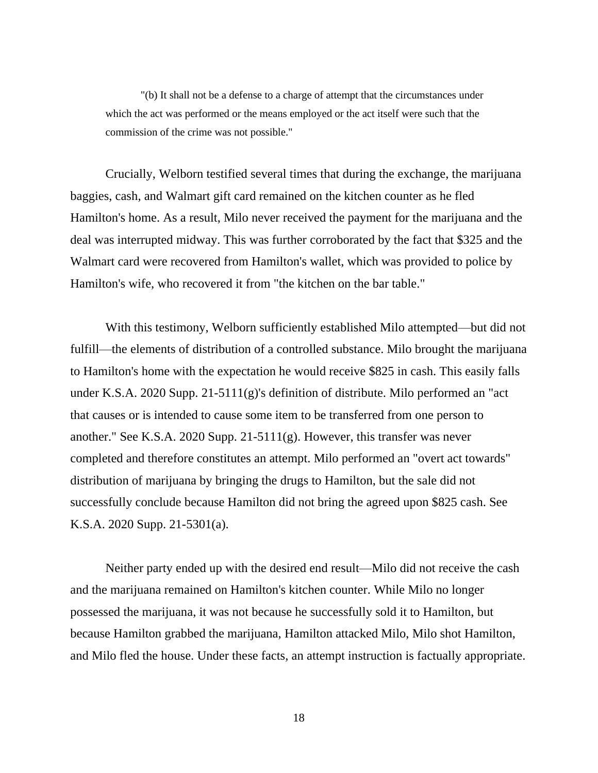"(b) It shall not be a defense to a charge of attempt that the circumstances under which the act was performed or the means employed or the act itself were such that the commission of the crime was not possible."

Crucially, Welborn testified several times that during the exchange, the marijuana baggies, cash, and Walmart gift card remained on the kitchen counter as he fled Hamilton's home. As a result, Milo never received the payment for the marijuana and the deal was interrupted midway. This was further corroborated by the fact that \$325 and the Walmart card were recovered from Hamilton's wallet, which was provided to police by Hamilton's wife, who recovered it from "the kitchen on the bar table."

With this testimony, Welborn sufficiently established Milo attempted—but did not fulfill—the elements of distribution of a controlled substance. Milo brought the marijuana to Hamilton's home with the expectation he would receive \$825 in cash. This easily falls under K.S.A. 2020 Supp. 21-5111(g)'s definition of distribute. Milo performed an "act that causes or is intended to cause some item to be transferred from one person to another." See K.S.A. 2020 Supp. 21-5111(g). However, this transfer was never completed and therefore constitutes an attempt. Milo performed an "overt act towards" distribution of marijuana by bringing the drugs to Hamilton, but the sale did not successfully conclude because Hamilton did not bring the agreed upon \$825 cash. See K.S.A. 2020 Supp. 21-5301(a).

Neither party ended up with the desired end result—Milo did not receive the cash and the marijuana remained on Hamilton's kitchen counter. While Milo no longer possessed the marijuana, it was not because he successfully sold it to Hamilton, but because Hamilton grabbed the marijuana, Hamilton attacked Milo, Milo shot Hamilton, and Milo fled the house. Under these facts, an attempt instruction is factually appropriate.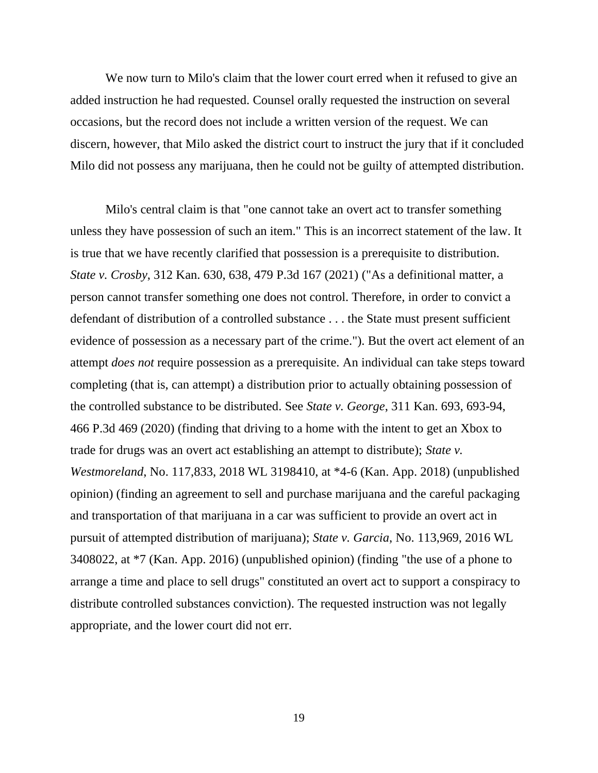We now turn to Milo's claim that the lower court erred when it refused to give an added instruction he had requested. Counsel orally requested the instruction on several occasions, but the record does not include a written version of the request. We can discern, however, that Milo asked the district court to instruct the jury that if it concluded Milo did not possess any marijuana, then he could not be guilty of attempted distribution.

Milo's central claim is that "one cannot take an overt act to transfer something unless they have possession of such an item." This is an incorrect statement of the law. It is true that we have recently clarified that possession is a prerequisite to distribution. *State v. Crosby*, 312 Kan. 630, 638, 479 P.3d 167 (2021) ("As a definitional matter, a person cannot transfer something one does not control. Therefore, in order to convict a defendant of distribution of a controlled substance . . . the State must present sufficient evidence of possession as a necessary part of the crime."). But the overt act element of an attempt *does not* require possession as a prerequisite. An individual can take steps toward completing (that is, can attempt) a distribution prior to actually obtaining possession of the controlled substance to be distributed. See *State v. George*, 311 Kan. 693, 693-94, 466 P.3d 469 (2020) (finding that driving to a home with the intent to get an Xbox to trade for drugs was an overt act establishing an attempt to distribute); *State v. Westmoreland*, No. 117,833, 2018 WL 3198410, at \*4-6 (Kan. App. 2018) (unpublished opinion) (finding an agreement to sell and purchase marijuana and the careful packaging and transportation of that marijuana in a car was sufficient to provide an overt act in pursuit of attempted distribution of marijuana); *State v. Garcia*, No. 113,969, 2016 WL 3408022, at \*7 (Kan. App. 2016) (unpublished opinion) (finding "the use of a phone to arrange a time and place to sell drugs" constituted an overt act to support a conspiracy to distribute controlled substances conviction). The requested instruction was not legally appropriate, and the lower court did not err.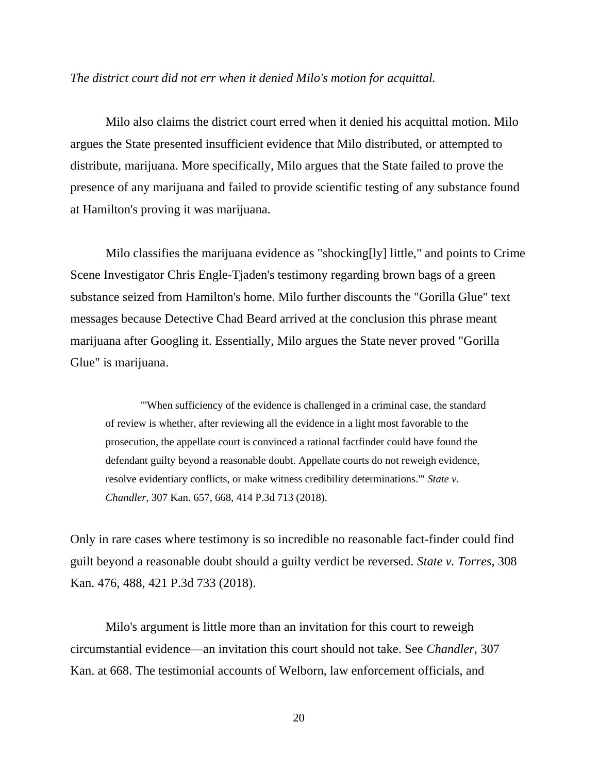#### *The district court did not err when it denied Milo's motion for acquittal.*

Milo also claims the district court erred when it denied his acquittal motion. Milo argues the State presented insufficient evidence that Milo distributed, or attempted to distribute, marijuana. More specifically, Milo argues that the State failed to prove the presence of any marijuana and failed to provide scientific testing of any substance found at Hamilton's proving it was marijuana.

Milo classifies the marijuana evidence as "shocking[ly] little," and points to Crime Scene Investigator Chris Engle-Tjaden's testimony regarding brown bags of a green substance seized from Hamilton's home. Milo further discounts the "Gorilla Glue" text messages because Detective Chad Beard arrived at the conclusion this phrase meant marijuana after Googling it. Essentially, Milo argues the State never proved "Gorilla Glue" is marijuana.

"'When sufficiency of the evidence is challenged in a criminal case, the standard of review is whether, after reviewing all the evidence in a light most favorable to the prosecution, the appellate court is convinced a rational factfinder could have found the defendant guilty beyond a reasonable doubt. Appellate courts do not reweigh evidence, resolve evidentiary conflicts, or make witness credibility determinations.'" *State v. Chandler*, 307 Kan. 657, 668, 414 P.3d 713 (2018).

Only in rare cases where testimony is so incredible no reasonable fact-finder could find guilt beyond a reasonable doubt should a guilty verdict be reversed. *State v. Torres*, 308 Kan. 476, 488, 421 P.3d 733 (2018).

Milo's argument is little more than an invitation for this court to reweigh circumstantial evidence—an invitation this court should not take. See *Chandler*, 307 Kan. at 668. The testimonial accounts of Welborn, law enforcement officials, and